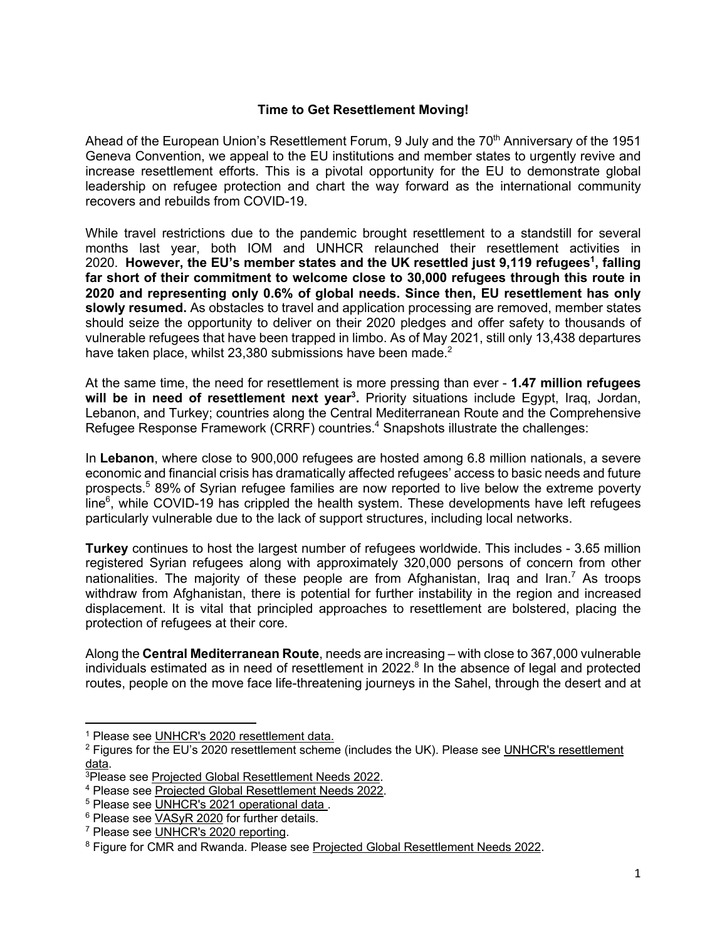#### **Time to Get Resettlement Moving!**

Ahead of the European Union's Resettlement Forum, 9 July and the 70<sup>th</sup> Anniversary of the 1951 Geneva Convention, we appeal to the EU institutions and member states to urgently revive and increase resettlement efforts. This is a pivotal opportunity for the EU to demonstrate global leadership on refugee protection and chart the way forward as the international community recovers and rebuilds from COVID-19.

While travel restrictions due to the pandemic brought resettlement to a standstill for several months last year, both IOM and UNHCR relaunched their resettlement activities in 2020. However, the EU's member states and the UK resettled just 9,119 refugees<sup>1</sup>, falling **far short of their commitment to welcome close to 30,000 refugees through this route in 2020 and representing only 0.6% of global needs. Since then, EU resettlement has only slowly resumed.** As obstacles to travel and application processing are removed, member states should seize the opportunity to deliver on their 2020 pledges and offer safety to thousands of vulnerable refugees that have been trapped in limbo. As of May 2021, still only 13,438 departures have taken place, whilst 23,380 submissions have been made.<sup>2</sup>

At the same time, the need for resettlement is more pressing than ever - **1.47 million refugees**  will be in need of resettlement next year<sup>3</sup>. Priority situations include Egypt, Iraq, Jordan, Lebanon, and Turkey; countries along the Central Mediterranean Route and the Comprehensive Refugee Response Framework (CRRF) countries.<sup>4</sup> Snapshots illustrate the challenges:

In **Lebanon**, where close to 900,000 refugees are hosted among 6.8 million nationals, a severe economic and financial crisis has dramatically affected refugees' access to basic needs and future prospects.<sup>5</sup> 89% of Syrian refugee families are now reported to live below the extreme poverty line $<sup>6</sup>$ , while COVID-19 has crippled the health system. These developments have left refugees</sup> particularly vulnerable due to the lack of support structures, including local networks.

**Turkey** continues to host the largest number of refugees worldwide. This includes - 3.65 million registered Syrian refugees along with approximately 320,000 persons of concern from other nationalities. The majority of these people are from Afghanistan, Iraq and Iran.<sup>7</sup> As troops withdraw from Afghanistan, there is potential for further instability in the region and increased displacement. It is vital that principled approaches to resettlement are bolstered, placing the protection of refugees at their core.

Along the **Central Mediterranean Route**, needs are increasing – with close to 367,000 vulnerable individuals estimated as in need of resettlement in  $2022<sup>8</sup>$  In the absence of legal and protected routes, people on the move face life-threatening journeys in the Sahel, through the desert and at

<sup>&</sup>lt;sup>1</sup> Please see UNHCR's 2020 resettlement data.

<sup>&</sup>lt;sup>2</sup> Figures for the EU's 2020 resettlement scheme (includes the UK). Please see UNHCR's resettlement <u>data</u>.<br><sup>3</sup>Please see Projected Global Resettlement Needs 2022.

<sup>4</sup> Please see Projected Global Resettlement Needs 2022.

<sup>&</sup>lt;sup>5</sup> Please see UNHCR's 2021 operational data.

 $6$  Please see  $VASyR 2020$  for further details.<br><sup>7</sup> Please see UNHCR's 2020 reporting.</u>

<sup>&</sup>lt;sup>8</sup> Figure for CMR and Rwanda. Please see Projected Global Resettlement Needs 2022.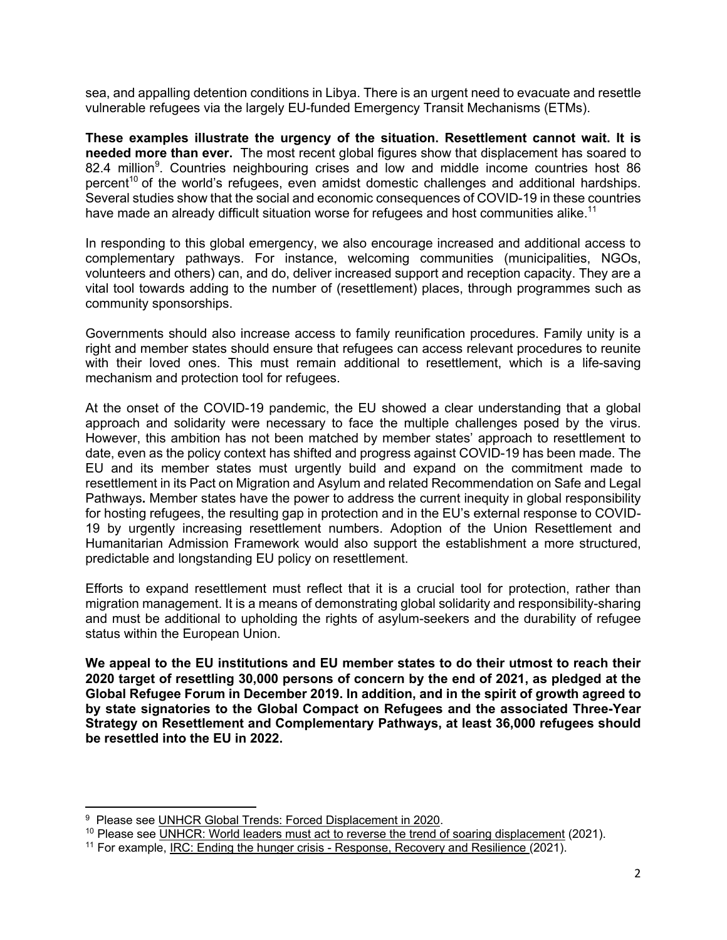sea, and appalling detention conditions in Libya. There is an urgent need to evacuate and resettle vulnerable refugees via the largely EU-funded Emergency Transit Mechanisms (ETMs).

**These examples illustrate the urgency of the situation. Resettlement cannot wait. It is needed more than ever.** The most recent global figures show that displacement has soared to 82.4 million<sup>9</sup>. Countries neighbouring crises and low and middle income countries host 86 percent<sup>10</sup> of the world's refugees, even amidst domestic challenges and additional hardships. Several studies show that the social and economic consequences of COVID-19 in these countries have made an already difficult situation worse for refugees and host communities alike.<sup>11</sup>

In responding to this global emergency, we also encourage increased and additional access to complementary pathways. For instance, welcoming communities (municipalities, NGOs, volunteers and others) can, and do, deliver increased support and reception capacity. They are a vital tool towards adding to the number of (resettlement) places, through programmes such as community sponsorships.

Governments should also increase access to family reunification procedures. Family unity is a right and member states should ensure that refugees can access relevant procedures to reunite with their loved ones. This must remain additional to resettlement, which is a life-saving mechanism and protection tool for refugees.

At the onset of the COVID-19 pandemic, the EU showed a clear understanding that a global approach and solidarity were necessary to face the multiple challenges posed by the virus. However, this ambition has not been matched by member states' approach to resettlement to date, even as the policy context has shifted and progress against COVID-19 has been made. The EU and its member states must urgently build and expand on the commitment made to resettlement in its Pact on Migration and Asylum and related Recommendation on Safe and Legal Pathways**.** Member states have the power to address the current inequity in global responsibility for hosting refugees, the resulting gap in protection and in the EU's external response to COVID-19 by urgently increasing resettlement numbers. Adoption of the Union Resettlement and Humanitarian Admission Framework would also support the establishment a more structured, predictable and longstanding EU policy on resettlement.

Efforts to expand resettlement must reflect that it is a crucial tool for protection, rather than migration management. It is a means of demonstrating global solidarity and responsibility-sharing and must be additional to upholding the rights of asylum-seekers and the durability of refugee status within the European Union.

**We appeal to the EU institutions and EU member states to do their utmost to reach their 2020 target of resettling 30,000 persons of concern by the end of 2021, as pledged at the Global Refugee Forum in December 2019. In addition, and in the spirit of growth agreed to by state signatories to the Global Compact on Refugees and the associated Three-Year Strategy on Resettlement and Complementary Pathways, at least 36,000 refugees should be resettled into the EU in 2022.**

<sup>&</sup>lt;sup>9</sup> Please see UNHCR Global Trends: Forced Displacement in 2020.

 $10$  Please see UNHCR: World leaders must act to reverse the trend of soaring displacement (2021).

<sup>&</sup>lt;sup>11</sup> For example, <u>IRC: Ending the hunger crisis - Response, Recovery and Resilience</u> (2021).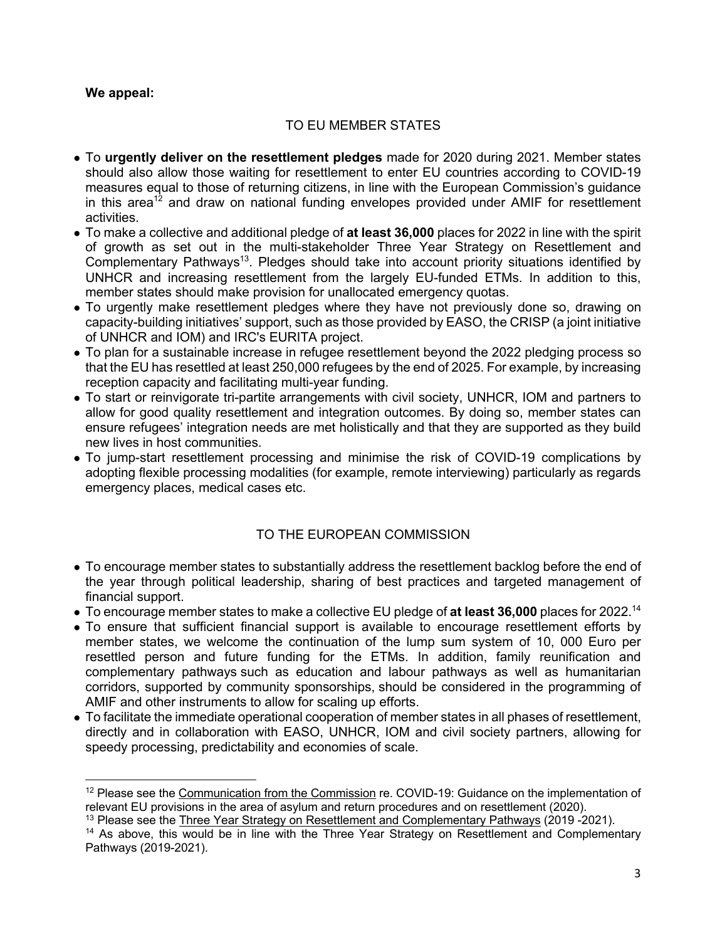## **We appeal:**

## TO EU MEMBER STATES

- To **urgently deliver on the resettlement pledges** made for 2020 during 2021. Member states should also allow those waiting for resettlement to enter EU countries according to COVID-19 measures equal to those of returning citizens, in line with the European Commission's guidance in this area<sup>12</sup> and draw on national funding envelopes provided under AMIF for resettlement activities.
- To make a collective and additional pledge of **at least 36,000** places for 2022 in line with the spirit of growth as set out in the multi-stakeholder Three Year Strategy on Resettlement and Complementary Pathways<sup>13</sup>. Pledges should take into account priority situations identified by UNHCR and increasing resettlement from the largely EU-funded ETMs. In addition to this, member states should make provision for unallocated emergency quotas.
- To urgently make resettlement pledges where they have not previously done so, drawing on capacity-building initiatives' support, such as those provided by EASO, the CRISP (a joint initiative of UNHCR and IOM) and IRC's EURITA project.
- To plan for a sustainable increase in refugee resettlement beyond the 2022 pledging process so that the EU has resettled at least 250,000 refugees by the end of 2025. For example, by increasing reception capacity and facilitating multi-year funding.
- To start or reinvigorate tri-partite arrangements with civil society, UNHCR, IOM and partners to allow for good quality resettlement and integration outcomes. By doing so, member states can ensure refugees' integration needs are met holistically and that they are supported as they build new lives in host communities.
- To jump-start resettlement processing and minimise the risk of COVID-19 complications by adopting flexible processing modalities (for example, remote interviewing) particularly as regards emergency places, medical cases etc.

# TO THE EUROPEAN COMMISSION

- To encourage member states to substantially address the resettlement backlog before the end of the year through political leadership, sharing of best practices and targeted management of financial support.
- To encourage member states to make a collective EU pledge of **at least 36,000** places for 2022.14
- To ensure that sufficient financial support is available to encourage resettlement efforts by member states, we welcome the continuation of the lump sum system of 10, 000 Euro per resettled person and future funding for the ETMs. In addition, family reunification and complementary pathways such as education and labour pathways as well as humanitarian corridors, supported by community sponsorships, should be considered in the programming of AMIF and other instruments to allow for scaling up efforts.
- To facilitate the immediate operational cooperation of member states in all phases of resettlement, directly and in collaboration with EASO, UNHCR, IOM and civil society partners, allowing for speedy processing, predictability and economies of scale.

<sup>&</sup>lt;sup>12</sup> Please see the Communication from the Commission re. COVID-19: Guidance on the implementation of relevant EU provisions in the area of asylum and return procedures and on resettlement (2020).

<sup>&</sup>lt;sup>13</sup> Please see the Three Year Strategy on Resettlement and Complementary Pathways (2019 -2021).

<sup>&</sup>lt;sup>14</sup> As above, this would be in line with the Three Year Strategy on Resettlement and Complementary Pathways (2019-2021).